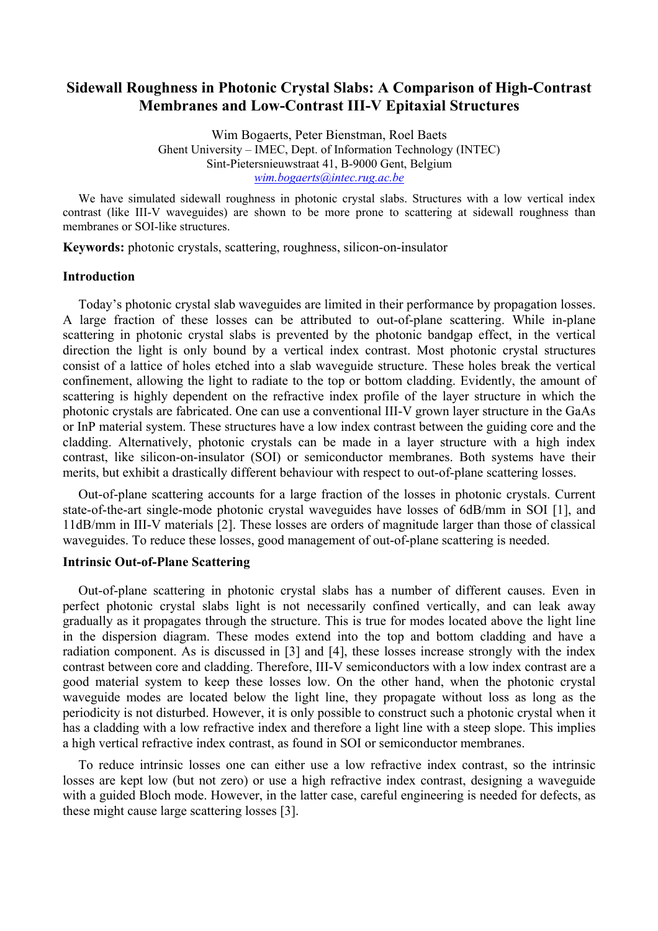# **Sidewall Roughness in Photonic Crystal Slabs: A Comparison of High-Contrast Membranes and Low-Contrast III-V Epitaxial Structures**

Wim Bogaerts, Peter Bienstman, Roel Baets Ghent University – IMEC, Dept. of Information Technology (INTEC) Sint-Pietersnieuwstraat 41, B-9000 Gent, Belgium *wim.bogaerts@intec.rug.ac.be*

We have simulated sidewall roughness in photonic crystal slabs. Structures with a low vertical index contrast (like III-V waveguides) are shown to be more prone to scattering at sidewall roughness than membranes or SOI-like structures.

**Keywords:** photonic crystals, scattering, roughness, silicon-on-insulator

#### **Introduction**

Today's photonic crystal slab waveguides are limited in their performance by propagation losses. A large fraction of these losses can be attributed to out-of-plane scattering. While in-plane scattering in photonic crystal slabs is prevented by the photonic bandgap effect, in the vertical direction the light is only bound by a vertical index contrast. Most photonic crystal structures consist of a lattice of holes etched into a slab waveguide structure. These holes break the vertical confinement, allowing the light to radiate to the top or bottom cladding. Evidently, the amount of scattering is highly dependent on the refractive index profile of the layer structure in which the photonic crystals are fabricated. One can use a conventional III-V grown layer structure in the GaAs or InP material system. These structures have a low index contrast between the guiding core and the cladding. Alternatively, photonic crystals can be made in a layer structure with a high index contrast, like silicon-on-insulator (SOI) or semiconductor membranes. Both systems have their merits, but exhibit a drastically different behaviour with respect to out-of-plane scattering losses.

Out-of-plane scattering accounts for a large fraction of the losses in photonic crystals. Current state-of-the-art single-mode photonic crystal waveguides have losses of 6dB/mm in SOI [1], and 11dB/mm in III-V materials [2]. These losses are orders of magnitude larger than those of classical waveguides. To reduce these losses, good management of out-of-plane scattering is needed.

## **Intrinsic Out-of-Plane Scattering**

Out-of-plane scattering in photonic crystal slabs has a number of different causes. Even in perfect photonic crystal slabs light is not necessarily confined vertically, and can leak away gradually as it propagates through the structure. This is true for modes located above the light line in the dispersion diagram. These modes extend into the top and bottom cladding and have a radiation component. As is discussed in [3] and [4], these losses increase strongly with the index contrast between core and cladding. Therefore, III-V semiconductors with a low index contrast are a good material system to keep these losses low. On the other hand, when the photonic crystal waveguide modes are located below the light line, they propagate without loss as long as the periodicity is not disturbed. However, it is only possible to construct such a photonic crystal when it has a cladding with a low refractive index and therefore a light line with a steep slope. This implies a high vertical refractive index contrast, as found in SOI or semiconductor membranes.

To reduce intrinsic losses one can either use a low refractive index contrast, so the intrinsic losses are kept low (but not zero) or use a high refractive index contrast, designing a waveguide with a guided Bloch mode. However, in the latter case, careful engineering is needed for defects, as these might cause large scattering losses [3].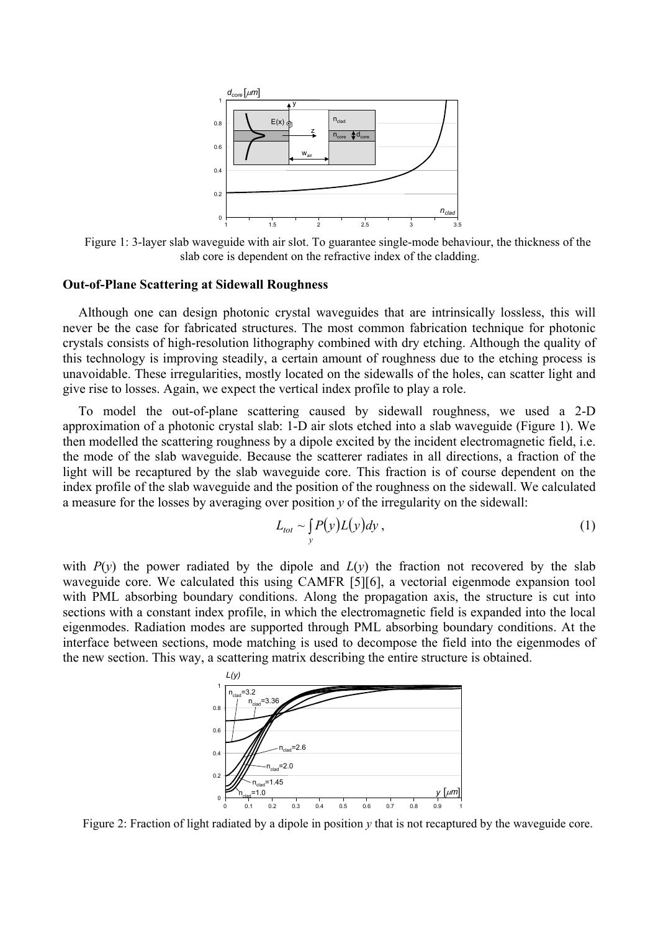

Figure 1: 3-layer slab waveguide with air slot. To guarantee single-mode behaviour, the thickness of the slab core is dependent on the refractive index of the cladding.

## **Out-of-Plane Scattering at Sidewall Roughness**

Although one can design photonic crystal waveguides that are intrinsically lossless, this will never be the case for fabricated structures. The most common fabrication technique for photonic crystals consists of high-resolution lithography combined with dry etching. Although the quality of this technology is improving steadily, a certain amount of roughness due to the etching process is unavoidable. These irregularities, mostly located on the sidewalls of the holes, can scatter light and give rise to losses. Again, we expect the vertical index profile to play a role.

To model the out-of-plane scattering caused by sidewall roughness, we used a 2-D approximation of a photonic crystal slab: 1-D air slots etched into a slab waveguide (Figure 1). We then modelled the scattering roughness by a dipole excited by the incident electromagnetic field, i.e. the mode of the slab waveguide. Because the scatterer radiates in all directions, a fraction of the light will be recaptured by the slab waveguide core. This fraction is of course dependent on the index profile of the slab waveguide and the position of the roughness on the sidewall. We calculated a measure for the losses by averaging over position *y* of the irregularity on the sidewall:

$$
L_{tot} \sim \int_{y} P(y) L(y) dy,
$$
 (1)

with  $P(y)$  the power radiated by the dipole and  $L(y)$  the fraction not recovered by the slab waveguide core. We calculated this using CAMFR [5][6], a vectorial eigenmode expansion tool with PML absorbing boundary conditions. Along the propagation axis, the structure is cut into sections with a constant index profile, in which the electromagnetic field is expanded into the local eigenmodes. Radiation modes are supported through PML absorbing boundary conditions. At the interface between sections, mode matching is used to decompose the field into the eigenmodes of the new section. This way, a scattering matrix describing the entire structure is obtained.



Figure 2: Fraction of light radiated by a dipole in position *y* that is not recaptured by the waveguide core.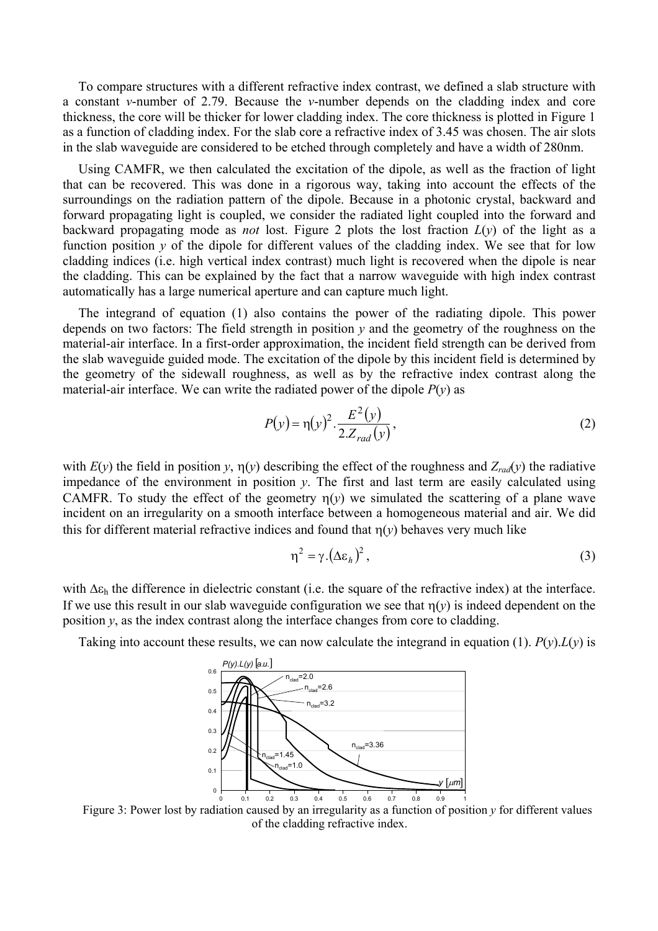To compare structures with a different refractive index contrast, we defined a slab structure with a constant *v*-number of 2.79. Because the *v*-number depends on the cladding index and core thickness, the core will be thicker for lower cladding index. The core thickness is plotted in Figure 1 as a function of cladding index. For the slab core a refractive index of 3.45 was chosen. The air slots in the slab waveguide are considered to be etched through completely and have a width of 280nm.

Using CAMFR, we then calculated the excitation of the dipole, as well as the fraction of light that can be recovered. This was done in a rigorous way, taking into account the effects of the surroundings on the radiation pattern of the dipole. Because in a photonic crystal, backward and forward propagating light is coupled, we consider the radiated light coupled into the forward and backward propagating mode as *not* lost. Figure 2 plots the lost fraction  $L(y)$  of the light as a function position  $y$  of the dipole for different values of the cladding index. We see that for low cladding indices (i.e. high vertical index contrast) much light is recovered when the dipole is near the cladding. This can be explained by the fact that a narrow waveguide with high index contrast automatically has a large numerical aperture and can capture much light.

The integrand of equation (1) also contains the power of the radiating dipole. This power depends on two factors: The field strength in position  $y$  and the geometry of the roughness on the material-air interface. In a first-order approximation, the incident field strength can be derived from the slab waveguide guided mode. The excitation of the dipole by this incident field is determined by the geometry of the sidewall roughness, as well as by the refractive index contrast along the material-air interface. We can write the radiated power of the dipole  $P(y)$  as

$$
P(y) = \eta(y)^2 \cdot \frac{E^2(y)}{2 \cdot Z_{rad}(y)},
$$
\n(2)

with  $E(y)$  the field in position *y*,  $\eta(y)$  describing the effect of the roughness and  $Z_{rad}(y)$  the radiative impedance of the environment in position *y*. The first and last term are easily calculated using CAMFR. To study the effect of the geometry  $\eta(y)$  we simulated the scattering of a plane wave incident on an irregularity on a smooth interface between a homogeneous material and air. We did this for different material refractive indices and found that  $\eta(y)$  behaves very much like

$$
\eta^2 = \gamma \left(\Delta \varepsilon_h\right)^2,\tag{3}
$$

with ∆ε<sub>h</sub> the difference in dielectric constant (i.e. the square of the refractive index) at the interface. If we use this result in our slab waveguide configuration we see that  $\eta(y)$  is indeed dependent on the position *y*, as the index contrast along the interface changes from core to cladding.

Taking into account these results, we can now calculate the integrand in equation (1).  $P(y) L(y)$  is



Figure 3: Power lost by radiation caused by an irregularity as a function of position *y* for different values of the cladding refractive index.